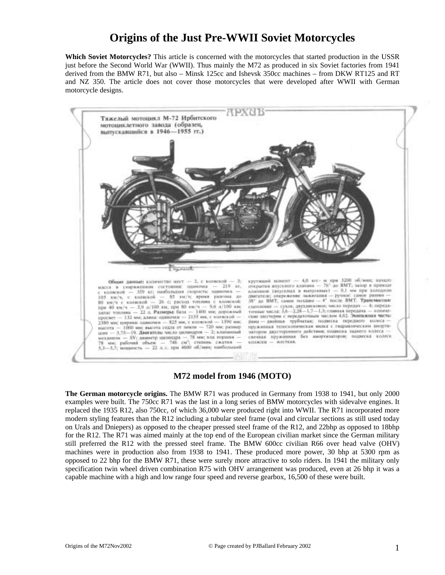# **Origins of the Just Pre-WWII Soviet Motorcycles**

**Which Soviet Motorcycles?** This article is concerned with the motorcycles that started production in the USSR just before the Second World War (WWII). Thus mainly the M72 as produced in six Soviet factories from 1941 derived from the BMW R71, but also – Minsk 125cc and Ishevsk 350cc machines – from DKW RT125 and RT and NZ 350. The article does not cover those motorcycles that were developed after WWII with German motorcycle designs.



**M72 model from 1946 (MOTO)**

**The German motorcycle origins.** The BMW R71 was produced in Germany from 1938 to 1941, but only 2000 examples were built. The 750cc R71 was the last in a long series of BMW motorcycles with sidevalve engines. It replaced the 1935 R12, also 750cc, of which 36,000 were produced right into WWII. The R71 incorporated more modern styling features than the R12 including a tubular steel frame (oval and circular sections as still used today on Urals and Dniepers) as opposed to the cheaper pressed steel frame of the R12, and 22bhp as opposed to 18bhp for the R12. The R71 was aimed mainly at the top end of the European civilian market since the German military still preferred the R12 with the pressed steel frame. The BMW 600cc civilian R66 over head valve (OHV) machines were in production also from 1938 to 1941. These produced more power, 30 bhp at 5300 rpm as opposed to 22 bhp for the BMW R71, these were surely more attractive to solo riders. In 1941 the military only specification twin wheel driven combination R75 with OHV arrangement was produced, even at 26 bhp it was a capable machine with a high and low range four speed and reverse gearbox, 16,500 of these were built.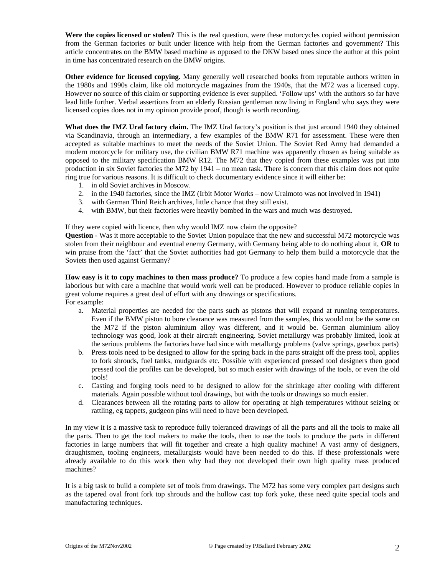**Were the copies licensed or stolen?** This is the real question, were these motorcycles copied without permission from the German factories or built under licence with help from the German factories and government? This article concentrates on the BMW based machine as opposed to the DKW based ones since the author at this point in time has concentrated research on the BMW origins.

**Other evidence for licensed copying.** Many generally well researched books from reputable authors written in the 1980s and 1990s claim, like old motorcycle magazines from the 1940s, that the M72 was a licensed copy. However no source of this claim or supporting evidence is ever supplied. 'Follow ups' with the authors so far have lead little further. Verbal assertions from an elderly Russian gentleman now living in England who says they were licensed copies does not in my opinion provide proof, though is worth recording.

**What does the IMZ Ural factory claim.** The IMZ Ural factory's position is that just around 1940 they obtained via Scandinavia, through an intermediary, a few examples of the BMW R71 for assessment. These were then accepted as suitable machines to meet the needs of the Soviet Union. The Soviet Red Army had demanded a modern motorcycle for military use, the civilian BMW R71 machine was apparently chosen as being suitable as opposed to the military specification BMW R12. The M72 that they copied from these examples was put into production in six Soviet factories the M72 by 1941 – no mean task. There is concern that this claim does not quite ring true for various reasons. It is difficult to check documentary evidence since it will either be:

- 1. in old Soviet archives in Moscow.
- 2. in the 1940 factories, since the IMZ (Irbit Motor Works now Uralmoto was not involved in 1941)
- 3. with German Third Reich archives, little chance that they still exist.
- 4. with BMW, but their factories were heavily bombed in the wars and much was destroyed.

If they were copied with licence, then why would IMZ now claim the opposite?

**Question** - Was it more acceptable to the Soviet Union populace that the new and successful M72 motorcycle was stolen from their neighbour and eventual enemy Germany, with Germany being able to do nothing about it, **OR** to win praise from the 'fact' that the Soviet authorities had got Germany to help them build a motorcycle that the Soviets then used against Germany?

**How easy is it to copy machines to then mass produce?** To produce a few copies hand made from a sample is laborious but with care a machine that would work well can be produced. However to produce reliable copies in great volume requires a great deal of effort with any drawings or specifications. For example:

- a. Material properties are needed for the parts such as pistons that will expand at running temperatures. Even if the BMW piston to bore clearance was measured from the samples, this would not be the same on the M72 if the piston aluminium alloy was different, and it would be. German aluminium alloy technology was good, look at their aircraft engineering. Soviet metallurgy was probably limited, look at the serious problems the factories have had since with metallurgy problems (valve springs, gearbox parts)
- b. Press tools need to be designed to allow for the spring back in the parts straight off the press tool, applies to fork shrouds, fuel tanks, mudguards etc. Possible with experienced pressed tool designers then good pressed tool die profiles can be developed, but so much easier with drawings of the tools, or even the old tools!
- c. Casting and forging tools need to be designed to allow for the shrinkage after cooling with different materials. Again possible without tool drawings, but with the tools or drawings so much easier.
- d. Clearances between all the rotating parts to allow for operating at high temperatures without seizing or rattling, eg tappets, gudgeon pins will need to have been developed.

In my view it is a massive task to reproduce fully toleranced drawings of all the parts and all the tools to make all the parts. Then to get the tool makers to make the tools, then to use the tools to produce the parts in different factories in large numbers that will fit together and create a high quality machine! A vast army of designers, draughtsmen, tooling engineers, metallurgists would have been needed to do this. If these professionals were already available to do this work then why had they not developed their own high quality mass produced machines?

It is a big task to build a complete set of tools from drawings. The M72 has some very complex part designs such as the tapered oval front fork top shrouds and the hollow cast top fork yoke, these need quite special tools and manufacturing techniques.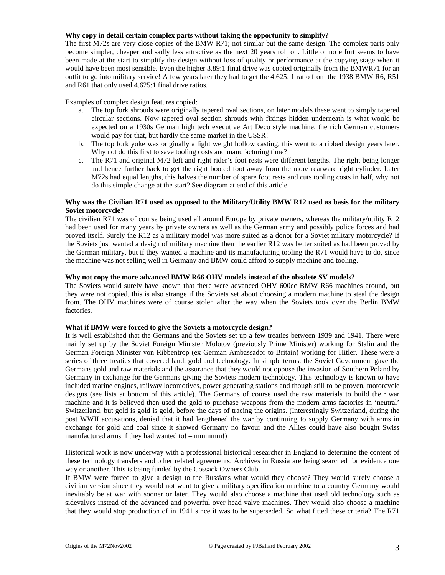#### **Why copy in detail certain complex parts without taking the opportunity to simplify?**

The first M72s are very close copies of the BMW R71; not similar but the same design. The complex parts only become simpler, cheaper and sadly less attractive as the next 20 years roll on. Little or no effort seems to have been made at the start to simplify the design without loss of quality or performance at the copying stage when it would have been most sensible. Even the higher 3.89:1 final drive was copied originally from the BMWR71 for an outfit to go into military service! A few years later they had to get the 4.625: 1 ratio from the 1938 BMW R6, R51 and R61 that only used 4.625:1 final drive ratios.

Examples of complex design features copied:

- a. The top fork shrouds were originally tapered oval sections, on later models these went to simply tapered circular sections. Now tapered oval section shrouds with fixings hidden underneath is what would be expected on a 1930s German high tech executive Art Deco style machine, the rich German customers would pay for that, but hardly the same market in the USSR!
- b. The top fork yoke was originally a light weight hollow casting, this went to a ribbed design years later. Why not do this first to save tooling costs and manufacturing time?
- c. The R71 and original M72 left and right rider's foot rests were different lengths. The right being longer and hence further back to get the right booted foot away from the more rearward right cylinder. Later M72s had equal lengths, this halves the number of spare foot rests and cuts tooling costs in half, why not do this simple change at the start? See diagram at end of this article.

#### **Why was the Civilian R71 used as opposed to the Military/Utility BMW R12 used as basis for the military Soviet motorcycle?**

The civilian R71 was of course being used all around Europe by private owners, whereas the military/utility R12 had been used for many years by private owners as well as the German army and possibly police forces and had proved itself. Surely the R12 as a military model was more suited as a donor for a Soviet military motorcycle? If the Soviets just wanted a design of military machine then the earlier R12 was better suited as had been proved by the German military, but if they wanted a machine and its manufacturing tooling the R71 would have to do, since the machine was not selling well in Germany and BMW could afford to supply machine and tooling.

# **Why not copy the more advanced BMW R66 OHV models instead of the obsolete SV models?**

The Soviets would surely have known that there were advanced OHV 600cc BMW R66 machines around, but they were not copied, this is also strange if the Soviets set about choosing a modern machine to steal the design from. The OHV machines were of course stolen after the way when the Soviets took over the Berlin BMW factories.

#### **What if BMW were forced to give the Soviets a motorcycle design?**

It is well established that the Germans and the Soviets set up a few treaties between 1939 and 1941. There were mainly set up by the Soviet Foreign Minister Molotov (previously Prime Minister) working for Stalin and the German Foreign Minister von Ribbentrop (ex German Ambassador to Britain) working for Hitler. These were a series of three treaties that covered land, gold and technology. In simple terms: the Soviet Government gave the Germans gold and raw materials and the assurance that they would not oppose the invasion of Southern Poland by Germany in exchange for the Germans giving the Soviets modern technology. This technology is known to have included marine engines, railway locomotives, power generating stations and though still to be proven, motorcycle designs (see lists at bottom of this article). The Germans of course used the raw materials to build their war machine and it is believed then used the gold to purchase weapons from the modern arms factories in 'neutral' Switzerland, but gold is gold is gold, before the days of tracing the origins. (Interestingly Switzerland, during the post WWII accusations, denied that it had lengthened the war by continuing to supply Germany with arms in exchange for gold and coal since it showed Germany no favour and the Allies could have also bought Swiss manufactured arms if they had wanted to! – mmmmm!)

Historical work is now underway with a professional historical researcher in England to determine the content of these technology transfers and other related agreements. Archives in Russia are being searched for evidence one way or another. This is being funded by the Cossack Owners Club.

If BMW were forced to give a design to the Russians what would they choose? They would surely choose a civilian version since they would not want to give a military specification machine to a country Germany would inevitably be at war with sooner or later. They would also choose a machine that used old technology such as sidevalves instead of the advanced and powerful over head valve machines. They would also choose a machine that they would stop production of in 1941 since it was to be superseded. So what fitted these criteria? The R71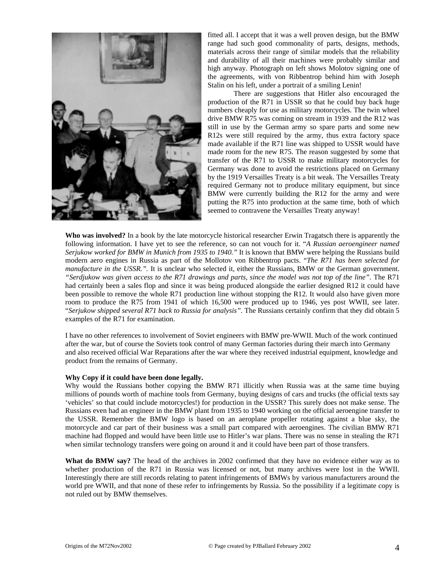

fitted all. I accept that it was a well proven design, but the BMW range had such good commonality of parts, designs, methods, materials across their range of similar models that the reliability and durability of all their machines were probably similar and high anyway. Photograph on left shows Molotov signing one of the agreements, with von Ribbentrop behind him with Joseph Stalin on his left, under a portrait of a smiling Lenin!

There are suggestions that Hitler also encouraged the production of the R71 in USSR so that he could buy back huge numbers cheaply for use as military motorcycles. The twin wheel drive BMW R75 was coming on stream in 1939 and the R12 was still in use by the German army so spare parts and some new R12s were still required by the army, thus extra factory space made available if the R71 line was shipped to USSR would have made room for the new R75. The reason suggested by some that transfer of the R71 to USSR to make military motorcycles for Germany was done to avoid the restrictions placed on Germany by the 1919 Versailles Treaty is a bit weak. The Versailles Treaty required Germany not to produce military equipment, but since BMW were currently building the R12 for the army and were putting the R75 into production at the same time, both of which seemed to contravene the Versailles Treaty anyway!

**Who was involved?** In a book by the late motorcycle historical researcher Erwin Tragatsch there is apparently the following information. I have yet to see the reference, so can not vouch for it. "*A Russian aeroengineer named Serjukow worked for BMW in Munich from 1935 to 1940."* It is known that BMW were helping the Russians build modern aero engines in Russia as part of the Mollotov von Ribbentrop pacts. "*The R71 has been selected for manufacture in the USSR.".* It is unclear who selected it, either the Russians, BMW or the German government. *"Serdjukow was given access to the R71 drawings and parts, since the model was not top of the line".* The R71 had certainly been a sales flop and since it was being produced alongside the earlier designed R12 it could have been possible to remove the whole R71 production line without stopping the R12. It would also have given more room to produce the R75 from 1941 of which 16,500 were produced up to 1946, yes post WWII, see later. "*Serjukow shipped several R71 back to Russia for analysis".* The Russians certainly confirm that they did obtain 5 examples of the R71 for examination.

I have no other references to involvement of Soviet engineers with BMW pre-WWII. Much of the work continued after the war, but of course the Soviets took control of many German factories during their march into Germany and also received official War Reparations after the war where they received industrial equipment, knowledge and product from the remains of Germany.

#### **Why Copy if it could have been done legally.**

Why would the Russians bother copying the BMW R71 illicitly when Russia was at the same time buying millions of pounds worth of machine tools from Germany, buying designs of cars and trucks (the official texts say 'vehicles' so that could include motorcycles!) for production in the USSR? This surely does not make sense. The Russians even had an engineer in the BMW plant from 1935 to 1940 working on the official aeroengine transfer to the USSR. Remember the BMW logo is based on an aeroplane propeller rotating against a blue sky, the motorcycle and car part of their business was a small part compared with aeroengines. The civilian BMW R71 machine had flopped and would have been little use to Hitler's war plans. There was no sense in stealing the R71 when similar technology transfers were going on around it and it could have been part of those transfers.

**What do BMW say?** The head of the archives in 2002 confirmed that they have no evidence either way as to whether production of the R71 in Russia was licensed or not, but many archives were lost in the WWII. Interestingly there are still records relating to patent infringements of BMWs by various manufacturers around the world pre WWII, and that none of these refer to infringements by Russia. So the possibility if a legitimate copy is not ruled out by BMW themselves.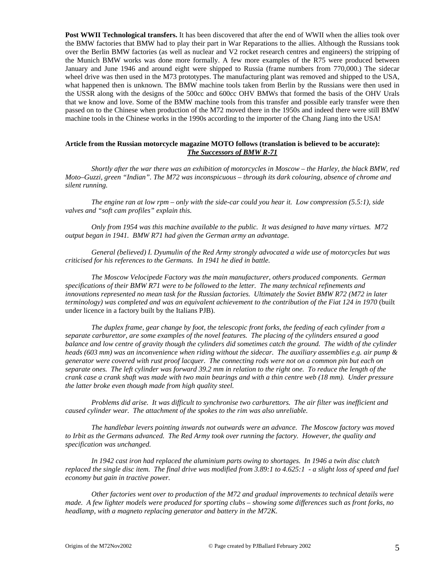**Post WWII Technological transfers.** It has been discovered that after the end of WWII when the allies took over the BMW factories that BMW had to play their part in War Reparations to the allies. Although the Russians took over the Berlin BMW factories (as well as nuclear and V2 rocket research centres and engineers) the stripping of the Munich BMW works was done more formally. A few more examples of the R75 were produced between January and June 1946 and around eight were shipped to Russia (frame numbers from 770,000.) The sidecar wheel drive was then used in the M73 prototypes. The manufacturing plant was removed and shipped to the USA, what happened then is unknown. The BMW machine tools taken from Berlin by the Russians were then used in the USSR along with the designs of the 500cc and 600cc OHV BMWs that formed the basis of the OHV Urals that we know and love. Some of the BMW machine tools from this transfer and possible early transfer were then passed on to the Chinese when production of the M72 moved there in the 1950s and indeed there were still BMW machine tools in the Chinese works in the 1990s according to the importer of the Chang Jiang into the USA!

# **Article from the Russian motorcycle magazine MOTO follows (translation is believed to be accurate):** *The Successors of BMW R-71*

*Shortly after the war there was an exhibition of motorcycles in Moscow – the Harley, the black BMW, red Moto–Guzzi, green "Indian". The M72 was inconspicuous – through its dark colouring, absence of chrome and silent running.*

*The engine ran at low rpm – only with the side-car could you hear it. Low compression (5.5:1), side valves and "soft cam profiles" explain this.*

*Only from 1954 was this machine available to the public. It was designed to have many virtues. M72 output began in 1941. BMW R71 had given the German army an advantage.*

*General (believed) I. Dyumulin of the Red Army strongly advocated a wide use of motorcycles but was criticised for his references to the Germans. In 1941 he died in battle.*

*The Moscow Velocipede Factory was the main manufacturer, others produced components. German specifications of their BMW R71 were to be followed to the letter. The many technical refinements and innovations represented no mean task for the Russian factories. Ultimately the Soviet BMW R72 (M72 in later terminology) was completed and was an equivalent achievement to the contribution of the Fiat 124 in 1970* (built under licence in a factory built by the Italians PJB).

*The duplex frame, gear change by foot, the telescopic front forks, the feeding of each cylinder from a separate carburettor, are some examples of the novel features. The placing of the cylinders ensured a good balance and low centre of gravity though the cylinders did sometimes catch the ground. The width of the cylinder heads (603 mm) was an inconvenience when riding without the sidecar. The auxiliary assemblies e.g. air pump & generator were covered with rust proof lacquer. The connecting rods were not on a common pin but each on separate ones. The left cylinder was forward 39.2 mm in relation to the right one. To reduce the length of the crank case a crank shaft was made with two main bearings and with a thin centre web (18 mm). Under pressure the latter broke even though made from high quality steel.*

*Problems did arise. It was difficult to synchronise two carburettors. The air filter was inefficient and caused cylinder wear. The attachment of the spokes to the rim was also unreliable.*

*The handlebar levers pointing inwards not outwards were an advance. The Moscow factory was moved to Irbit as the Germans advanced. The Red Army took over running the factory. However, the quality and specification was unchanged.*

*In 1942 cast iron had replaced the aluminium parts owing to shortages. In 1946 a twin disc clutch replaced the single disc item. The final drive was modified from 3.89:1 to 4.625:1 - a slight loss of speed and fuel economy but gain in tractive power.*

*Other factories went over to production of the M72 and gradual improvements to technical details were made. A few lighter models were produced for sporting clubs – showing some differences such as front forks, no headlamp, with a magneto replacing generator and battery in the M72K.*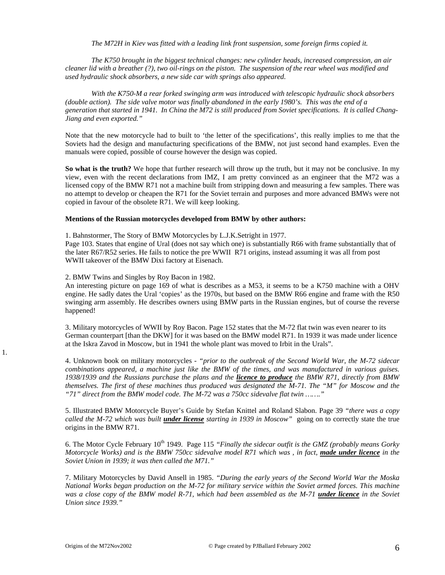*The M72H in Kiev was fitted with a leading link front suspension, some foreign firms copied it.*

*The K750 brought in the biggest technical changes: new cylinder heads, increased compression, an air cleaner lid with a breather (?), two oil-rings on the piston. The suspension of the rear wheel was modified and used hydraulic shock absorbers, a new side car with springs also appeared.*

*With the K750-M a rear forked swinging arm was introduced with telescopic hydraulic shock absorbers (double action). The side valve motor was finally abandoned in the early 1980's. This was the end of a generation that started in 1941. In China the M72 is still produced from Soviet specifications. It is called Chang-Jiang and even exported."*

Note that the new motorcycle had to built to 'the letter of the specifications', this really implies to me that the Soviets had the design and manufacturing specifications of the BMW, not just second hand examples. Even the manuals were copied, possible of course however the design was copied.

**So what is the truth?** We hope that further research will throw up the truth, but it may not be conclusive. In my view, even with the recent declarations from IMZ, I am pretty convinced as an engineer that the M72 was a licensed copy of the BMW R71 not a machine built from stripping down and measuring a few samples. There was no attempt to develop or cheapen the R71 for the Soviet terrain and purposes and more advanced BMWs were not copied in favour of the obsolete R71. We will keep looking.

#### **Mentions of the Russian motorcycles developed from BMW by other authors:**

1. Bahnstormer, The Story of BMW Motorcycles by L.J.K.Setright in 1977.

Page 103. States that engine of Ural (does not say which one) is substantially R66 with frame substantially that of the later R67/R52 series. He fails to notice the pre WWII R71 origins, instead assuming it was all from post WWII takeover of the BMW Dixi factory at Eisenach.

2. BMW Twins and Singles by Roy Bacon in 1982.

An interesting picture on page 169 of what is describes as a M53, it seems to be a K750 machine with a OHV engine. He sadly dates the Ural 'copies' as the 1970s, but based on the BMW R66 engine and frame with the R50 swinging arm assembly. He describes owners using BMW parts in the Russian engines, but of course the reverse happened!

3. Military motorcycles of WWII by Roy Bacon. Page 152 states that the M-72 flat twin was even nearer to its German counterpart [than the DKW] for it was based on the BMW model R71. In 1939 it was made under licence at the Iskra Zavod in Moscow, but in 1941 the whole plant was moved to Irbit in the Urals".

4. Unknown book on military motorcycles - *"prior to the outbreak of the Second World War, the M-72 sidecar combinations appeared, a machine just like the BMW of the times, and was manufactured in various guises. 1938/1939 and the Russians purchase the plans and the licence to produce the BMW R71, directly from BMW themselves. The first of these machines thus produced was designated the M-71. The "M" for Moscow and the "71" direct from the BMW model code. The M-72 was a 750cc sidevalve flat twin ……."*

5. Illustrated BMW Motorcycle Buyer's Guide by Stefan Knittel and Roland Slabon. Page 39 *"there was a copy called the M-72 which was built under license starting in 1939 in Moscow"* going on to correctly state the true origins in the BMW R71.

6. The Motor Cycle February 10<sup>th</sup> 1949. Page 115 *"Finally the sidecar outfit is the GMZ (probably means Gorky Motorcycle Works) and is the BMW 750cc sidevalve model R71 which was , in fact, made under licence in the Soviet Union in 1939; it was then called the M71."*

7. Military Motorcycles by David Ansell in 1985. *"During the early years of the Second World War the Moska National Works began production on the M-72 for military service within the Soviet armed forces. This machine was a close copy of the BMW model R-71, which had been assembled as the M-71 under licence in the Soviet Union since 1939."*

1.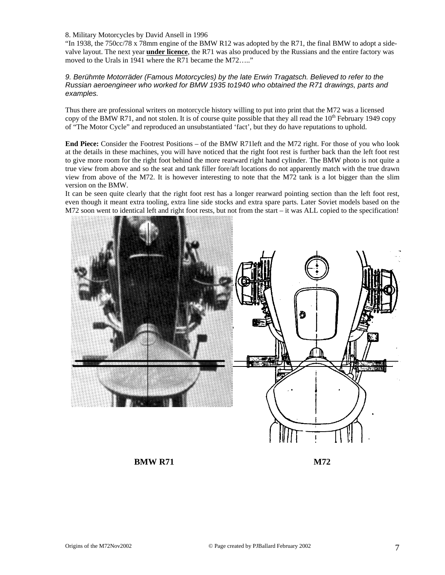8. Military Motorcycles by David Ansell in 1996

"In 1938, the 750cc/78 x 78mm engine of the BMW R12 was adopted by the R71, the final BMW to adopt a sidevalve layout. The next year **under licence**, the R71 was also produced by the Russians and the entire factory was moved to the Urals in 1941 where the R71 became the M72....."

# *9. Berühmte Motorräder (Famous Motorcycles) by the late Erwin Tragatsch. Believed to refer to the Russian aeroengineer who worked for BMW 1935 to1940 who obtained the R71 drawings, parts and examples.*

Thus there are professional writers on motorcycle history willing to put into print that the M72 was a licensed copy of the BMW R71, and not stolen. It is of course quite possible that they all read the  $10<sup>th</sup>$  February 1949 copy of "The Motor Cycle" and reproduced an unsubstantiated 'fact', but they do have reputations to uphold.

**End Piece:** Consider the Footrest Positions – of the BMW R71left and the M72 right. For those of you who look at the details in these machines, you will have noticed that the right foot rest is further back than the left foot rest to give more room for the right foot behind the more rearward right hand cylinder. The BMW photo is not quite a true view from above and so the seat and tank filler fore/aft locations do not apparently match with the true drawn view from above of the M72. It is however interesting to note that the M72 tank is a lot bigger than the slim version on the BMW.

It can be seen quite clearly that the right foot rest has a longer rearward pointing section than the left foot rest, even though it meant extra tooling, extra line side stocks and extra spare parts. Later Soviet models based on the  $M72$  soon went to identical left and right foot rests, but not from the start – it was ALL copied to the specification!



**BMW R71** M72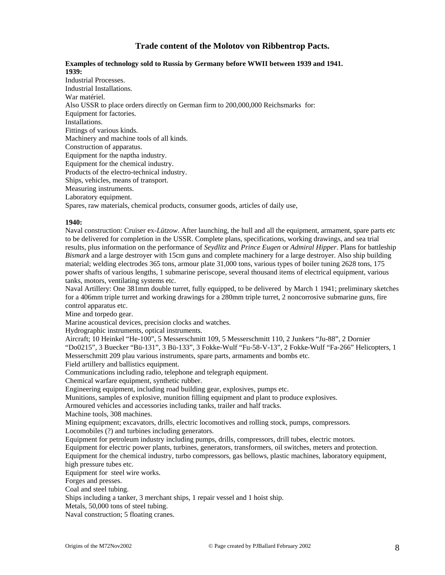# **Trade content of the Molotov von Ribbentrop Pacts.**

#### **Examples of technology sold to Russia by Germany before WWII between 1939 and 1941. 1939:**

Industrial Processes. Industrial Installations. War matériel. Also USSR to place orders directly on German firm to 200,000,000 Reichsmarks for: Equipment for factories. Installations. Fittings of various kinds. Machinery and machine tools of all kinds. Construction of apparatus. Equipment for the naptha industry. Equipment for the chemical industry. Products of the electro-technical industry. Ships, vehicles, means of transport. Measuring instruments. Laboratory equipment. Spares, raw materials, chemical products, consumer goods, articles of daily use,

# **1940:**

Naval construction: Cruiser ex-*Lützow*. After launching, the hull and all the equipment, armament, spare parts etc to be delivered for completion in the USSR. Complete plans, specifications, working drawings, and sea trial results, plus information on the performance of *Seydlitz* and *Prince Eugen* or *Admiral Hipper*. Plans for battleship *Bismark* and a large destroyer with 15cm guns and complete machinery for a large destroyer. Also ship building material; welding electrodes 365 tons, armour plate 31,000 tons, various types of boiler tuning 2628 tons, 175 power shafts of various lengths, 1 submarine periscope, several thousand items of electrical equipment, various tanks, motors, ventilating systems etc.

Naval Artillery: One 381mm double turret, fully equipped, to be delivered by March 1 1941; preliminary sketches for a 406mm triple turret and working drawings for a 280mm triple turret, 2 noncorrosive submarine guns, fire control apparatus etc.

Mine and torpedo gear.

Marine acoustical devices, precision clocks and watches.

Hydrographic instruments, optical instruments.

Aircraft; 10 Heinkel "He-100", 5 Messerschmitt 109, 5 Messerschmitt 110, 2 Junkers "Ju-88", 2 Dornier "Do0215", 3 Buecker "Bü-131", 3 Bü-133", 3 Fokke-Wulf "Fu-58-V-13", 2 Fokke-Wulf "Fa-266" Helicopters, 1 Messerschmitt 209 plau various instruments, spare parts, armaments and bombs etc.

Field artillery and ballistics equipment.

Communications including radio, telephone and telegraph equipment.

Chemical warfare equipment, synthetic rubber.

Engineering equipment, including road building gear, explosives, pumps etc.

Munitions, samples of explosive, munition filling equipment and plant to produce explosives.

Armoured vehicles and accessories including tanks, trailer and half tracks.

Machine tools, 308 machines.

Mining equipment; excavators, drills, electric locomotives and rolling stock, pumps, compressors. Locomobiles (?) and turbines including generators.

Equipment for petroleum industry including pumps, drills, compressors, drill tubes, electric motors.

Equipment for electric power plants, turbines, generators, transformers, oil switches, meters and protection.

Equipment for the chemical industry, turbo compressors, gas bellows, plastic machines, laboratory equipment, high pressure tubes etc.

Equipment for steel wire works.

Forges and presses.

Coal and steel tubing.

Ships including a tanker, 3 merchant ships, 1 repair vessel and 1 hoist ship.

Metals, 50,000 tons of steel tubing.

Naval construction; 5 floating cranes.